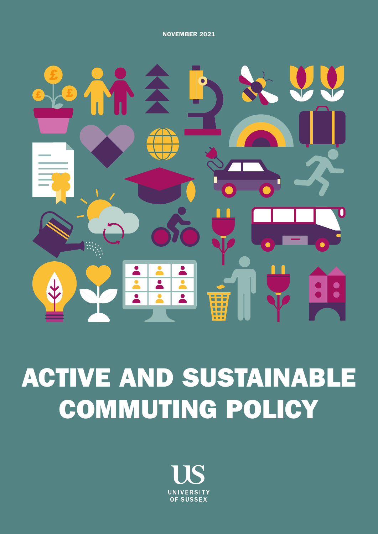NOVEMBER 2021



# ACTIVE AND SUSTAINABLE COMMUTING POLICY

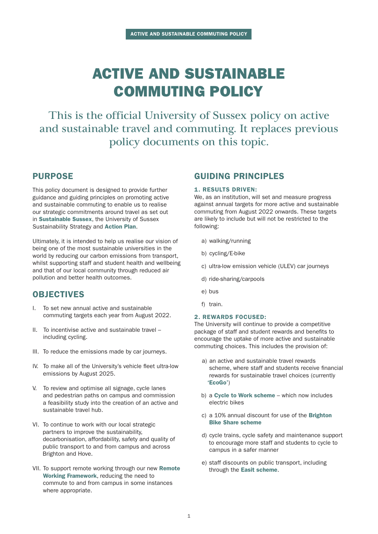# ACTIVE AND SUSTAINABLE COMMUTING POLICY

This is the official University of Sussex policy on active and sustainable travel and commuting. It replaces previous policy documents on this topic.

### PURPOSE

This policy document is designed to provide further guidance and guiding principles on promoting active and sustainable commuting to enable us to realise our strategic commitments around travel as set out in [Sustainable Sussex](https://www.sussex.ac.uk/webteam/gateway/file.php?name=4904-sustainability-strategy-final-30june-2nd.pdf&site=271), the University of Sussex Sustainability Strategy and [Action Plan](https://www.sussex.ac.uk/webteam/gateway/file.php?name=4904-sustainability-strategy-action-plan1st.pdf&site=271).

Ultimately, it is intended to help us realise our vision of being one of the most sustainable universities in the world by reducing our carbon emissions from transport, whilst supporting staff and student health and wellbeing and that of our local community through reduced air pollution and better health outcomes.

### OBJECTIVES

- I. To set new annual active and sustainable commuting targets each year from August 2022.
- II. To incentivise active and sustainable travel including cycling.
- III. To reduce the emissions made by car journeys.
- IV. To make all of the University's vehicle fleet ultra-low emissions by August 2025.
- V. To review and optimise all signage, cycle lanes and pedestrian paths on campus and commission a feasibility study into the creation of an active and sustainable travel hub.
- VI. To continue to work with our local strategic partners to improve the sustainability, decarbonisation, affordability, safety and quality of public transport to and from campus and across Brighton and Hove.
- VII. To support remote working through our new Remote  [Working Framework](https://www.sussex.ac.uk/webteam/gateway/file.php?name=the-remote-working-framework.pdf&site=302), reducing the need to commute to and from campus in some instances where appropriate.

### GUIDING PRINCIPLES

#### 1. RESULTS DRIVEN:

We, as an institution, will set and measure progress against annual targets for more active and sustainable commuting from August 2022 onwards. These targets are likely to include but will not be restricted to the following:

- a) walking/running
- b) cycling/E-bike
- c) ultra-low emission vehicle (ULEV) car journeys
- d) ride-sharing/carpools
- e) bus
- f) train.

#### 2. REWARDS FOCUSED:

The University will continue to provide a competitive package of staff and student rewards and benefits to encourage the uptake of more active and sustainable commuting choices. This includes the provision of:

- a) an active and sustainable travel rewards scheme, where staff and students receive financial rewards for sustainable travel choices (currently ['EcoGo'](https://ecogo.betterpoints.app/))
- b) a [Cycle to Work scheme](http://www.sussex.ac.uk/humanresources/reward-and-benefits/cycle-to-work) which now includes electric bikes
- c) a 10% annual discount for use of the **Brighton**  [Bike Share scheme](https://www.btnbikeshare.com/)
- d) cycle trains, cycle safety and maintenance support to encourage more staff and students to cycle to campus in a safer manner
- e) staff discounts on public transport, including through the [Easit scheme](http://www.sussex.ac.uk/humanresources/reward-and-benefits/discountpublictransport).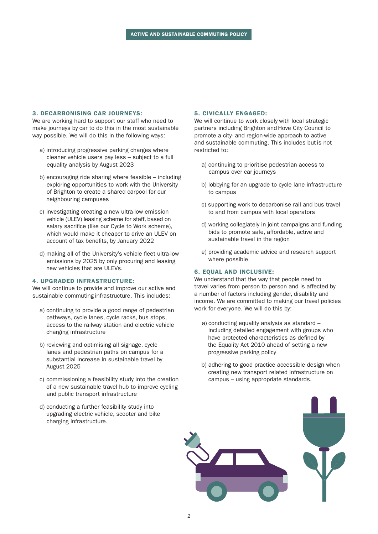#### 3. DECARBONISING CAR JOURNEYS:

We are working hard to support our staff who need to make journeys by car to do this in the most sustainable way possible. We will do this in the following ways:

- a) introducing progressive parking charges where cleaner vehicle users pay less – subject to a full equality analysis by August 2023
- b) encouraging ride sharing where feasible including exploring opportunities to work with the University of Brighton to create a shared carpool for our neighbouring campuses
- c) investigating creating a new ultra-low emission vehicle (ULEV) leasing scheme for staff, based on salary sacrifice (like our Cycle to Work scheme), which would make it cheaper to drive an ULEV on account of tax benefits, by January 2022
- d) making all of the University's vehicle fleet ultra-low emissions by 2025 by only procuring and leasing new vehicles that are ULEVs.

#### 4. UPGRADED INFRASTRUCTURE:

We will continue to provide and improve our active and sustainable commuting infrastructure. This includes:

- a) continuing to provide a good range of pedestrian pathways, cycle lanes, cycle racks, bus stops, access to the railway station and electric vehicle charging infrastructure
- b) reviewing and optimising all signage, cycle lanes and pedestrian paths on campus for a substantial increase in sustainable travel by August 2025
- c) commissioning a feasibility study into the creation of a new sustainable travel hub to improve cycling and public transport infrastructure
- d) conducting a further feasibility study into upgrading electric vehicle, scooter and bike charging infrastructure.

#### 5. CIVICALLY ENGAGED:

We will continue to work closely with local strategic partners including Brighton and Hove City Council to promote a city- and region-wide approach to active and sustainable commuting. This includes but is not restricted to:

- a) continuing to prioritise pedestrian access to campus over car journeys
- b) lobbying for an upgrade to cycle lane infrastructure to campus
- c) supporting work to decarbonise rail and bus travel to and from campus with local operators
- d) working collegiately in joint campaigns and funding bids to promote safe, affordable, active and sustainable travel in the region
- e) providing academic advice and research support where possible.

#### 6. EQUAL AND INCLUSIVE:

We understand that the way that people need to travel varies from person to person and is affected by a number of factors including gender, disability and income. We are committed to making our travel policies work for everyone. We will do this by:

- a) conducting equality analysis as standard including detailed engagement with groups who have protected characteristics as defined by the Equality Act 2010 ahead of setting a new progressive parking policy
- b) adhering to good practice accessible design when creating new transport related infrastructure on campus – using appropriate standards.

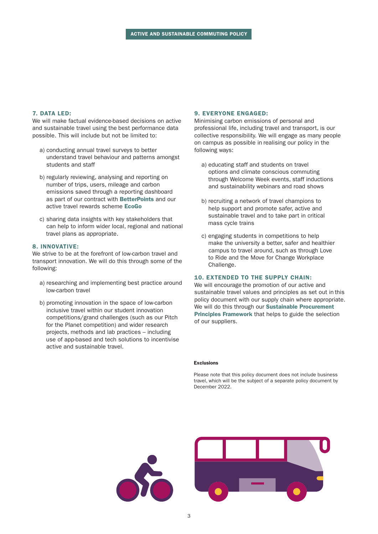#### 7. DATA LED:

We will make factual evidence-based decisions on active and sustainable travel using the best performance data possible. This will include but not be limited to:

- a) conducting annual travel surveys to better understand travel behaviour and patterns amongst students and staff
- b) regularly reviewing, analysing and reporting on number of trips, users, mileage and carbon emissions saved through a reporting dashboard as part of our contract with [BetterPoints](https://www.betterpoints.ltd/) and our active travel rewards scheme E[coGo](https://ecogo.betterpoints.app/)
- c) sharing data insights with key stakeholders that can help to inform wider local, regional and national travel plans as appropriate.

#### 8. INNOVATIVE:

We strive to be at the forefront of low-carbon travel and transport innovation. We will do this through some of the following:

- a) researching and implementing best practice around low-carbon travel
- b) promoting innovation in the space of low-carbon inclusive travel within our student innovation competitions/grand challenges (such as our Pitch for the Planet competition) and wider research projects, methods and lab practices – including use of app-based and tech solutions to incentivise active and sustainable travel.

#### 9. EVERYONE ENGAGED:

Minimising carbon emissions of personal and professional life, including travel and transport, is our collective responsibility. We will engage as many people on campus as possible in realising our policy in the following ways:

- a) educating staff and students on travel options and climate conscious commuting through Welcome Week events, staff inductions and sustainability webinars and road shows
- b) recruiting a network of travel champions to help support and promote safer, active and sustainable travel and to take part in critical mass cycle trains
- c) engaging students in competitions to help make the university a better, safer and healthier campus to travel around, such as through Love to Ride and the Move for Change Workplace Challenge.

#### 10. EXTENDED TO THE SUPPLY CHAIN:

We will encourage the promotion of our active and sustainable travel values and principles as set out in this policy document with our supply chain where appropriate. We will do this through our Sustainable Procurement [Principles Framework](https://www.sussex.ac.uk/about/sustainable-university/performance/sustainable-supply-chain/sustainable-procurement-framework) that helps to guide the selection of our suppliers.

#### Exclusions

Please note that this policy document does not include business travel, which will be the subject of a separate policy document by December 2022.

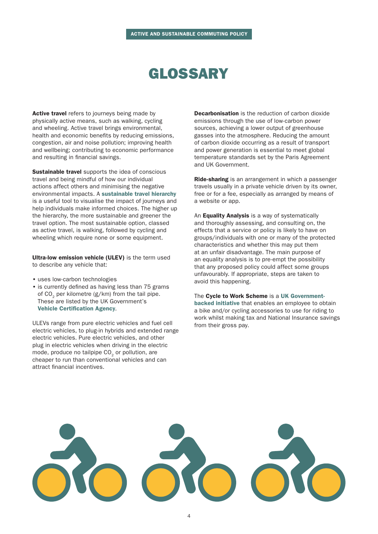# GLOSSARY

Active travel refers to journeys being made by physically active means, such as walking, cycling and wheeling. Active travel brings environmental, health and economic benefits by reducing emissions, congestion, air and noise pollution; improving health and wellbeing; contributing to economic performance and resulting in financial savings.

Sustainable travel supports the idea of conscious travel and being mindful of how our individual actions affect others and minimising the negative environmental impacts. A [sustainable travel hierarchy](https://www.actionnetzero.org/guides-and-tools/sustainable-travel-options-transport-hierarchy/) is a useful tool to visualise the impact of journeys and help individuals make informed choices. The higher up the hierarchy, the more sustainable and greener the travel option. The most sustainable option, classed as active travel, is walking, followed by cycling and wheeling which require none or some equipment.

Ultra-low emission vehicle (ULEV) is the term used to describe any vehicle that:

- uses low-carbon technologies
- is currently defined as having less than 75 grams of  $CO<sub>2</sub>$  per kilometre (g/km) from the tail pipe. These are listed by the UK Government's [Vehicle Certification Agency](https://www.vehicle-certification-agency.gov.uk/fuel-consumption-co2/fuel-consumption-guide/zero-and-ultra-low-emission-vehicles-ulevs/#topic-title).

ULEVs range from pure electric vehicles and fuel cell electric vehicles, to plug-in hybrids and extended range electric vehicles. Pure electric vehicles, and other plug in electric vehicles when driving in the electric mode, produce no tailpipe CO<sub>2</sub> or pollution, are cheaper to run than conventional vehicles and can attract financial incentives.

Decarbonisation is the reduction of carbon dioxide emissions through the use of low-carbon power sources, achieving a lower output of greenhouse gasses into the atmosphere. Reducing the amount of carbon dioxide occurring as a result of transport and power generation is essential to meet global temperature standards set by the Paris Agreement and UK Government.

Ride-sharing is an arrangement in which a passenger travels usually in a private vehicle driven by its owner, free or for a fee, especially as arranged by means of a website or app.

An **Equality Analysis** is a way of systematically and thoroughly assessing, and consulting on, the effects that a service or policy is likely to have on groups/individuals with one or many of the protected characteristics and whether this may put them at an unfair disadvantage. The main purpose of an equality analysis is to pre-empt the possibility that any proposed policy could affect some groups unfavourably. If appropriate, steps are taken to avoid this happening.

The Cycle to Work Scheme is a [UK Government](https://www.gov.uk/government/publications/cycle-to-work-scheme-implementation-guidance)[backed initiative](https://www.gov.uk/government/publications/cycle-to-work-scheme-implementation-guidance) that enables an employee to obtain a bike and/or cycling accessories to use for riding to work whilst making tax and National Insurance savings from their gross pay.